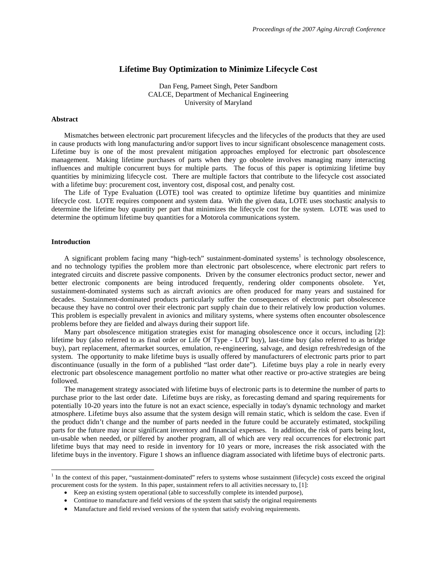# **Lifetime Buy Optimization to Minimize Lifecycle Cost**

Dan Feng, Pameet Singh, Peter Sandborn CALCE, Department of Mechanical Engineering University of Maryland

## **Abstract**

Mismatches between electronic part procurement lifecycles and the lifecycles of the products that they are used in cause products with long manufacturing and/or support lives to incur significant obsolescence management costs. Lifetime buy is one of the most prevalent mitigation approaches employed for electronic part obsolescence management. Making lifetime purchases of parts when they go obsolete involves managing many interacting influences and multiple concurrent buys for multiple parts. The focus of this paper is optimizing lifetime buy quantities by minimizing lifecycle cost. There are multiple factors that contribute to the lifecycle cost associated with a lifetime buy: procurement cost, inventory cost, disposal cost, and penalty cost.

The Life of Type Evaluation (LOTE) tool was created to optimize lifetime buy quantities and minimize lifecycle cost. LOTE requires component and system data. With the given data, LOTE uses stochastic analysis to determine the lifetime buy quantity per part that minimizes the lifecycle cost for the system. LOTE was used to determine the optimum lifetime buy quantities for a Motorola communications system.

#### **Introduction**

 $\overline{a}$ 

A significant problem facing many "high-tech" sustainment-dominated systems<sup>1</sup> is technology obsolescence, and no technology typifies the problem more than electronic part obsolescence, where electronic part refers to integrated circuits and discrete passive components. Driven by the consumer electronics product sector, newer and better electronic components are being introduced frequently, rendering older components obsolete. Yet, sustainment-dominated systems such as aircraft avionics are often produced for many years and sustained for decades. Sustainment-dominated products particularly suffer the consequences of electronic part obsolescence because they have no control over their electronic part supply chain due to their relatively low production volumes. This problem is especially prevalent in avionics and military systems, where systems often encounter obsolescence problems before they are fielded and always during their support life.

Many part obsolescence mitigation strategies exist for managing obsolescence once it occurs, including [2]: lifetime buy (also referred to as final order or Life Of Type - LOT buy), last-time buy (also referred to as bridge buy), part replacement, aftermarket sources, emulation, re-engineering, salvage, and design refresh/redesign of the system. The opportunity to make lifetime buys is usually offered by manufacturers of electronic parts prior to part discontinuance (usually in the form of a published "last order date"). Lifetime buys play a role in nearly every electronic part obsolescence management portfolio no matter what other reactive or pro-active strategies are being followed.

The management strategy associated with lifetime buys of electronic parts is to determine the number of parts to purchase prior to the last order date. Lifetime buys are risky, as forecasting demand and sparing requirements for potentially 10-20 years into the future is not an exact science, especially in today's dynamic technology and market atmosphere. Lifetime buys also assume that the system design will remain static, which is seldom the case. Even if the product didn't change and the number of parts needed in the future could be accurately estimated, stockpiling parts for the future may incur significant inventory and financial expenses. In addition, the risk of parts being lost, un-usable when needed, or pilfered by another program, all of which are very real occurrences for electronic part lifetime buys that may need to reside in inventory for 10 years or more, increases the risk associated with the lifetime buys in the inventory. Figure 1 shows an influence diagram associated with lifetime buys of electronic parts.

<sup>&</sup>lt;sup>1</sup> In the context of this paper, "sustainment-dominated" refers to systems whose sustainment (lifecycle) costs exceed the original procurement costs for the system. In this paper, sustainment refers to all activities necessary to, [1]:

<sup>•</sup> Keep an existing system operational (able to successfully complete its intended purpose),

<sup>•</sup> Continue to manufacture and field versions of the system that satisfy the original requirements

<sup>•</sup> Manufacture and field revised versions of the system that satisfy evolving requirements.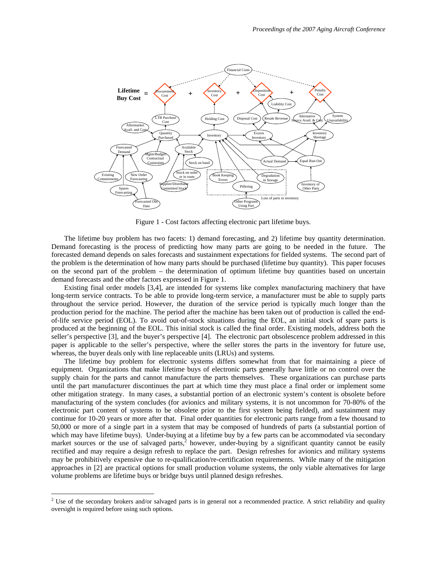

Figure 1 - Cost factors affecting electronic part lifetime buys.

The lifetime buy problem has two facets: 1) demand forecasting, and 2) lifetime buy quantity determination. Demand forecasting is the process of predicting how many parts are going to be needed in the future. The forecasted demand depends on sales forecasts and sustainment expectations for fielded systems. The second part of the problem is the determination of how many parts should be purchased (lifetime buy quantity). This paper focuses on the second part of the problem – the determination of optimum lifetime buy quantities based on uncertain demand forecasts and the other factors expressed in Figure 1.

Existing final order models [3,4], are intended for systems like complex manufacturing machinery that have long-term service contracts. To be able to provide long-term service, a manufacturer must be able to supply parts throughout the service period. However, the duration of the service period is typically much longer than the production period for the machine. The period after the machine has been taken out of production is called the endof-life service period (EOL). To avoid out-of-stock situations during the EOL, an initial stock of spare parts is produced at the beginning of the EOL. This initial stock is called the final order. Existing models, address both the seller's perspective [3], and the buyer's perspective [4]. The electronic part obsolescence problem addressed in this paper is applicable to the seller's perspective, where the seller stores the parts in the inventory for future use, whereas, the buyer deals only with line replaceable units (LRUs) and systems.

The lifetime buy problem for electronic systems differs somewhat from that for maintaining a piece of equipment. Organizations that make lifetime buys of electronic parts generally have little or no control over the supply chain for the parts and cannot manufacture the parts themselves. These organizations can purchase parts until the part manufacturer discontinues the part at which time they must place a final order or implement some other mitigation strategy. In many cases, a substantial portion of an electronic system's content is obsolete before manufacturing of the system concludes (for avionics and military systems, it is not uncommon for 70-80% of the electronic part content of systems to be obsolete prior to the first system being fielded), and sustainment may continue for 10-20 years or more after that. Final order quantities for electronic parts range from a few thousand to 50,000 or more of a single part in a system that may be composed of hundreds of parts (a substantial portion of which may have lifetime buys). Under-buying at a lifetime buy by a few parts can be accommodated via secondary market sources or the use of salvaged parts, $\lambda^2$  however, under-buying by a significant quantity cannot be easily rectified and may require a design refresh to replace the part. Design refreshes for avionics and military systems may be prohibitively expensive due to re-qualification/re-certification requirements. While many of the mitigation approaches in [2] are practical options for small production volume systems, the only viable alternatives for large volume problems are lifetime buys or bridge buys until planned design refreshes.

<sup>&</sup>lt;sup>2</sup> Use of the secondary brokers and/or salvaged parts is in general not a recommended practice. A strict reliability and quality oversight is required before using such options.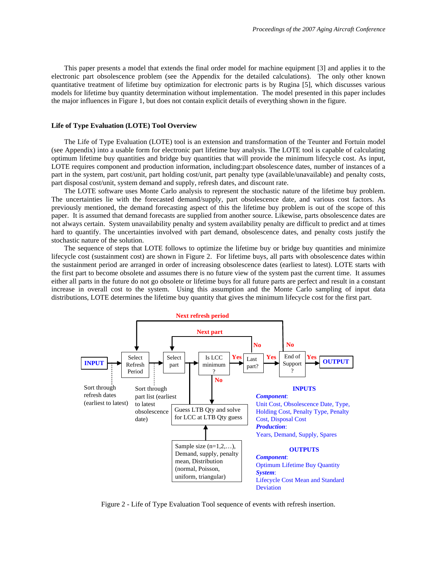This paper presents a model that extends the final order model for machine equipment [3] and applies it to the electronic part obsolescence problem (see the Appendix for the detailed calculations). The only other known quantitative treatment of lifetime buy optimization for electronic parts is by Rugina [5], which discusses various models for lifetime buy quantity determination without implementation. The model presented in this paper includes the major influences in Figure 1, but does not contain explicit details of everything shown in the figure.

#### **Life of Type Evaluation (LOTE) Tool Overview**

 The Life of Type Evaluation (LOTE) tool is an extension and transformation of the Teunter and Fortuin model (see Appendix) into a usable form for electronic part lifetime buy analysis. The LOTE tool is capable of calculating optimum lifetime buy quantities and bridge buy quantities that will provide the minimum lifecycle cost. As input, LOTE requires component and production information, including:part obsolescence dates, number of instances of a part in the system, part cost/unit, part holding cost/unit, part penalty type (available/unavailable) and penalty costs, part disposal cost/unit, system demand and supply, refresh dates, and discount rate.

 The LOTE software uses Monte Carlo analysis to represent the stochastic nature of the lifetime buy problem. The uncertainties lie with the forecasted demand/supply, part obsolescence date, and various cost factors. As previously mentioned, the demand forecasting aspect of this the lifetime buy problem is out of the scope of this paper. It is assumed that demand forecasts are supplied from another source. Likewise, parts obsolescence dates are not always certain. System unavailability penalty and system availability penalty are difficult to predict and at times hard to quantify. The uncertainties involved with part demand, obsolescence dates, and penalty costs justify the stochastic nature of the solution.

 The sequence of steps that LOTE follows to optimize the lifetime buy or bridge buy quantities and minimize lifecycle cost (sustainment cost) are shown in Figure 2. For lifetime buys, all parts with obsolescence dates within the sustainment period are arranged in order of increasing obsolescence dates (earliest to latest). LOTE starts with the first part to become obsolete and assumes there is no future view of the system past the current time. It assumes either all parts in the future do not go obsolete or lifetime buys for all future parts are perfect and result in a constant increase in overall cost to the system. Using this assumption and the Monte Carlo sampling of input data distributions, LOTE determines the lifetime buy quantity that gives the minimum lifecycle cost for the first part.



Figure 2 - Life of Type Evaluation Tool sequence of events with refresh insertion.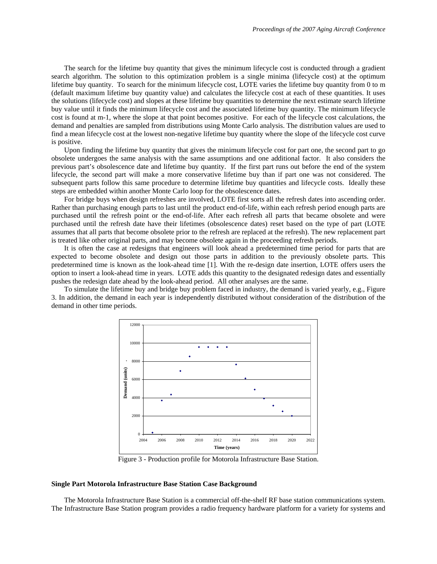The search for the lifetime buy quantity that gives the minimum lifecycle cost is conducted through a gradient search algorithm. The solution to this optimization problem is a single minima (lifecycle cost) at the optimum lifetime buy quantity. To search for the minimum lifecycle cost, LOTE varies the lifetime buy quantity from 0 to m (default maximum lifetime buy quantity value) and calculates the lifecycle cost at each of these quantities. It uses the solutions (lifecycle cost) and slopes at these lifetime buy quantities to determine the next estimate search lifetime buy value until it finds the minimum lifecycle cost and the associated lifetime buy quantity. The minimum lifecycle cost is found at m-1, where the slope at that point becomes positive. For each of the lifecycle cost calculations, the demand and penalties are sampled from distributions using Monte Carlo analysis. The distribution values are used to find a mean lifecycle cost at the lowest non-negative lifetime buy quantity where the slope of the lifecycle cost curve is positive.

 Upon finding the lifetime buy quantity that gives the minimum lifecycle cost for part one, the second part to go obsolete undergoes the same analysis with the same assumptions and one additional factor. It also considers the previous part's obsolescence date and lifetime buy quantity. If the first part runs out before the end of the system lifecycle, the second part will make a more conservative lifetime buy than if part one was not considered. The subsequent parts follow this same procedure to determine lifetime buy quantities and lifecycle costs. Ideally these steps are embedded within another Monte Carlo loop for the obsolescence dates.

 For bridge buys when design refreshes are involved, LOTE first sorts all the refresh dates into ascending order. Rather than purchasing enough parts to last until the product end-of-life, within each refresh period enough parts are purchased until the refresh point or the end-of-life. After each refresh all parts that became obsolete and were purchased until the refresh date have their lifetimes (obsolescence dates) reset based on the type of part (LOTE assumes that all parts that become obsolete prior to the refresh are replaced at the refresh). The new replacement part is treated like other original parts, and may become obsolete again in the proceeding refresh periods.

 It is often the case at redesigns that engineers will look ahead a predetermined time period for parts that are expected to become obsolete and design out those parts in addition to the previously obsolete parts. This predetermined time is known as the look-ahead time [1]. With the re-design date insertion, LOTE offers users the option to insert a look-ahead time in years. LOTE adds this quantity to the designated redesign dates and essentially pushes the redesign date ahead by the look-ahead period. All other analyses are the same.

 To simulate the lifetime buy and bridge buy problem faced in industry, the demand is varied yearly, e.g., Figure 3. In addition, the demand in each year is independently distributed without consideration of the distribution of the demand in other time periods.



Figure 3 - Production profile for Motorola Infrastructure Base Station.

### **Single Part Motorola Infrastructure Base Station Case Background**

The Motorola Infrastructure Base Station is a commercial off-the-shelf RF base station communications system. The Infrastructure Base Station program provides a radio frequency hardware platform for a variety for systems and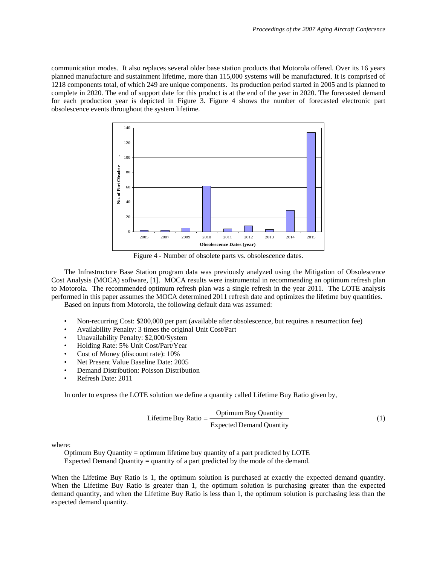communication modes. It also replaces several older base station products that Motorola offered. Over its 16 years planned manufacture and sustainment lifetime, more than 115,000 systems will be manufactured. It is comprised of 1218 components total, of which 249 are unique components. Its production period started in 2005 and is planned to complete in 2020. The end of support date for this product is at the end of the year in 2020. The forecasted demand for each production year is depicted in Figure 3. Figure 4 shows the number of forecasted electronic part obsolescence events throughout the system lifetime.



Figure 4 - Number of obsolete parts vs. obsolescence dates.

The Infrastructure Base Station program data was previously analyzed using the Mitigation of Obsolescence Cost Analysis (MOCA) software, [1]. MOCA results were instrumental in recommending an optimum refresh plan to Motorola. The recommended optimum refresh plan was a single refresh in the year 2011. The LOTE analysis performed in this paper assumes the MOCA determined 2011 refresh date and optimizes the lifetime buy quantities. Based on inputs from Motorola, the following default data was assumed:

- Non-recurring Cost: \$200,000 per part (available after obsolescence, but requires a resurrection fee)
- Availability Penalty: 3 times the original Unit Cost/Part
- Unavailability Penalty: \$2,000/System
- Holding Rate: 5% Unit Cost/Part/Year
- Cost of Money (discount rate): 10%
- Net Present Value Baseline Date: 2005
- Demand Distribution: Poisson Distribution
- Refresh Date: 2011

In order to express the LOTE solution we define a quantity called Lifetime Buy Ratio given by,

$$
Lifetime Buy Ratio = \frac{Optimum Buy Quantity}{Expected Demand Quantity}
$$
 (1)

where:

Optimum Buy Quantity = optimum lifetime buy quantity of a part predicted by LOTE Expected Demand Quantity = quantity of a part predicted by the mode of the demand.

When the Lifetime Buy Ratio is 1, the optimum solution is purchased at exactly the expected demand quantity. When the Lifetime Buy Ratio is greater than 1, the optimum solution is purchasing greater than the expected demand quantity, and when the Lifetime Buy Ratio is less than 1, the optimum solution is purchasing less than the expected demand quantity.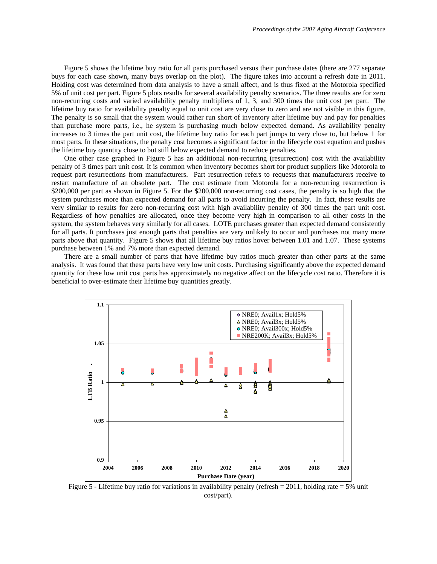Figure 5 shows the lifetime buy ratio for all parts purchased versus their purchase dates (there are 277 separate buys for each case shown, many buys overlap on the plot). The figure takes into account a refresh date in 2011. Holding cost was determined from data analysis to have a small affect, and is thus fixed at the Motorola specified 5% of unit cost per part. Figure 5 plots results for several availability penalty scenarios. The three results are for zero non-recurring costs and varied availability penalty multipliers of 1, 3, and 300 times the unit cost per part. The lifetime buy ratio for availability penalty equal to unit cost are very close to zero and are not visible in this figure. The penalty is so small that the system would rather run short of inventory after lifetime buy and pay for penalties than purchase more parts, i.e., he system is purchasing much below expected demand. As availability penalty increases to 3 times the part unit cost, the lifetime buy ratio for each part jumps to very close to, but below 1 for most parts. In these situations, the penalty cost becomes a significant factor in the lifecycle cost equation and pushes the lifetime buy quantity close to but still below expected demand to reduce penalties.

 One other case graphed in Figure 5 has an additional non-recurring (resurrection) cost with the availability penalty of 3 times part unit cost. It is common when inventory becomes short for product suppliers like Motorola to request part resurrections from manufacturers. Part resurrection refers to requests that manufacturers receive to restart manufacture of an obsolete part. The cost estimate from Motorola for a non-recurring resurrection is \$200,000 per part as shown in Figure 5. For the \$200,000 non-recurring cost cases, the penalty is so high that the system purchases more than expected demand for all parts to avoid incurring the penalty. In fact, these results are very similar to results for zero non-recurring cost with high availability penalty of 300 times the part unit cost. Regardless of how penalties are allocated, once they become very high in comparison to all other costs in the system, the system behaves very similarly for all cases. LOTE purchases greater than expected demand consistently for all parts. It purchases just enough parts that penalties are very unlikely to occur and purchases not many more parts above that quantity. Figure 5 shows that all lifetime buy ratios hover between 1.01 and 1.07. These systems purchase between 1% and 7% more than expected demand.

 There are a small number of parts that have lifetime buy ratios much greater than other parts at the same analysis. It was found that these parts have very low unit costs. Purchasing significantly above the expected demand quantity for these low unit cost parts has approximately no negative affect on the lifecycle cost ratio. Therefore it is beneficial to over-estimate their lifetime buy quantities greatly.



Figure 5 - Lifetime buy ratio for variations in availability penalty (refresh = 2011, holding rate = 5% unit cost/part).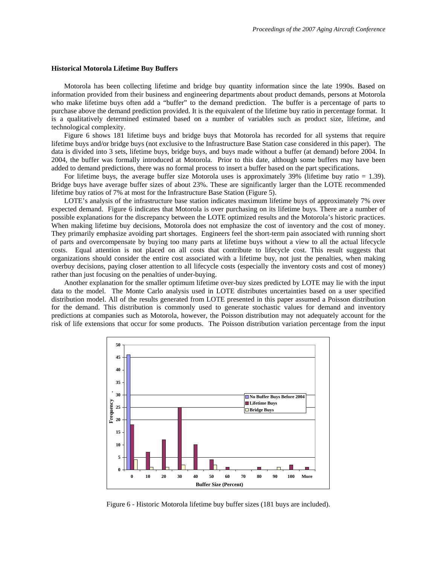#### **Historical Motorola Lifetime Buy Buffers**

 Motorola has been collecting lifetime and bridge buy quantity information since the late 1990s. Based on information provided from their business and engineering departments about product demands, persons at Motorola who make lifetime buys often add a "buffer" to the demand prediction. The buffer is a percentage of parts to purchase above the demand prediction provided. It is the equivalent of the lifetime buy ratio in percentage format. It is a qualitatively determined estimated based on a number of variables such as product size, lifetime, and technological complexity.

Figure 6 shows 181 lifetime buys and bridge buys that Motorola has recorded for all systems that require lifetime buys and/or bridge buys (not exclusive to the Infrastructure Base Station case considered in this paper). The data is divided into 3 sets, lifetime buys, bridge buys, and buys made without a buffer (at demand) before 2004. In 2004, the buffer was formally introduced at Motorola. Prior to this date, although some buffers may have been added to demand predictions, there was no formal process to insert a buffer based on the part specifications.

 For lifetime buys, the average buffer size Motorola uses is approximately 39% (lifetime buy ratio = 1.39). Bridge buys have average buffer sizes of about 23%. These are significantly larger than the LOTE recommended lifetime buy ratios of 7% at most for the Infrastructure Base Station (Figure 5).

 LOTE's analysis of the infrastructure base station indicates maximum lifetime buys of approximately 7% over expected demand. Figure 6 indicates that Motorola is over purchasing on its lifetime buys. There are a number of possible explanations for the discrepancy between the LOTE optimized results and the Motorola's historic practices. When making lifetime buy decisions, Motorola does not emphasize the cost of inventory and the cost of money. They primarily emphasize avoiding part shortages. Engineers feel the short-term pain associated with running short of parts and overcompensate by buying too many parts at lifetime buys without a view to all the actual lifecycle costs. Equal attention is not placed on all costs that contribute to lifecycle cost. This result suggests that organizations should consider the entire cost associated with a lifetime buy, not just the penalties, when making overbuy decisions, paying closer attention to all lifecycle costs (especially the inventory costs and cost of money) rather than just focusing on the penalties of under-buying.

Another explanation for the smaller optimum lifetime over-buy sizes predicted by LOTE may lie with the input data to the model. The Monte Carlo analysis used in LOTE distributes uncertainties based on a user specified distribution model. All of the results generated from LOTE presented in this paper assumed a Poisson distribution for the demand. This distribution is commonly used to generate stochastic values for demand and inventory predictions at companies such as Motorola, however, the Poisson distribution may not adequately account for the risk of life extensions that occur for some products. The Poisson distribution variation percentage from the input



Figure 6 - Historic Motorola lifetime buy buffer sizes (181 buys are included).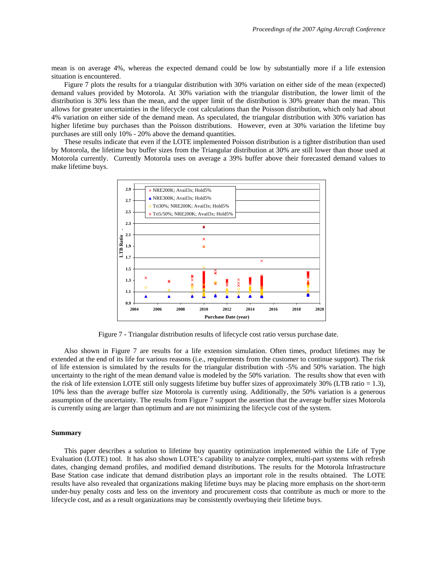mean is on average 4%, whereas the expected demand could be low by substantially more if a life extension situation is encountered.

 Figure 7 plots the results for a triangular distribution with 30% variation on either side of the mean (expected) demand values provided by Motorola. At 30% variation with the triangular distribution, the lower limit of the distribution is 30% less than the mean, and the upper limit of the distribution is 30% greater than the mean. This allows for greater uncertainties in the lifecycle cost calculations than the Poisson distribution, which only had about 4% variation on either side of the demand mean. As speculated, the triangular distribution with 30% variation has higher lifetime buy purchases than the Poisson distributions. However, even at 30% variation the lifetime buy purchases are still only 10% - 20% above the demand quantities.

 These results indicate that even if the LOTE implemented Poisson distribution is a tighter distribution than used by Motorola, the lifetime buy buffer sizes from the Triangular distribution at 30% are still lower than those used at Motorola currently. Currently Motorola uses on average a 39% buffer above their forecasted demand values to make lifetime buys.



Figure 7 - Triangular distribution results of lifecycle cost ratio versus purchase date.

 Also shown in Figure 7 are results for a life extension simulation. Often times, product lifetimes may be extended at the end of its life for various reasons (i.e., requirements from the customer to continue support). The risk of life extension is simulated by the results for the triangular distribution with -5% and 50% variation. The high uncertainty to the right of the mean demand value is modeled by the 50% variation. The results show that even with the risk of life extension LOTE still only suggests lifetime buy buffer sizes of approximately  $30\%$  (LTB ratio = 1.3), 10% less than the average buffer size Motorola is currently using. Additionally, the 50% variation is a generous assumption of the uncertainty. The results from Figure 7 support the assertion that the average buffer sizes Motorola is currently using are larger than optimum and are not minimizing the lifecycle cost of the system.

### **Summary**

 This paper describes a solution to lifetime buy quantity optimization implemented within the Life of Type Evaluation (LOTE) tool. It has also shown LOTE's capability to analyze complex, multi-part systems with refresh dates, changing demand profiles, and modified demand distributions. The results for the Motorola Infrastructure Base Station case indicate that demand distribution plays an important role in the results obtained. The LOTE results have also revealed that organizations making lifetime buys may be placing more emphasis on the short-term under-buy penalty costs and less on the inventory and procurement costs that contribute as much or more to the lifecycle cost, and as a result organizations may be consistently overbuying their lifetime buys.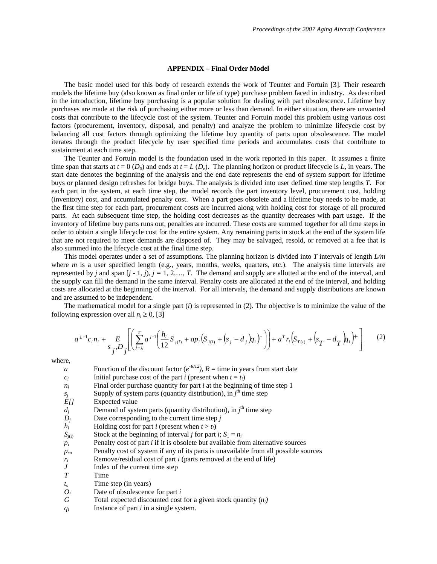## **APPENDIX – Final Order Model**

 The basic model used for this body of research extends the work of Teunter and Fortuin [3]. Their research models the lifetime buy (also known as final order or life of type) purchase problem faced in industry. As described in the introduction, lifetime buy purchasing is a popular solution for dealing with part obsolescence. Lifetime buy purchases are made at the risk of purchasing either more or less than demand. In either situation, there are unwanted costs that contribute to the lifecycle cost of the system. Teunter and Fortuin model this problem using various cost factors (procurement, inventory, disposal, and penalty) and analyze the problem to minimize lifecycle cost by balancing all cost factors through optimizing the lifetime buy quantity of parts upon obsolescence. The model iterates through the product lifecycle by user specified time periods and accumulates costs that contribute to sustainment at each time step.

The Teunter and Fortuin model is the foundation used in the work reported in this paper. It assumes a finite time span that starts at  $t = 0$  ( $D_0$ ) and ends at  $t = L(D_e)$ . The planning horizon or product lifecycle is *L*, in years. The start date denotes the beginning of the analysis and the end date represents the end of system support for lifetime buys or planned design refreshes for bridge buys. The analysis is divided into user defined time step lengths *T*. For each part in the system, at each time step, the model records the part inventory level, procurement cost, holding (inventory) cost, and accumulated penalty cost. When a part goes obsolete and a lifetime buy needs to be made, at the first time step for each part, procurement costs are incurred along with holding cost for storage of all procured parts. At each subsequent time step, the holding cost decreases as the quantity decreases with part usage. If the inventory of lifetime buy parts runs out, penalties are incurred. These costs are summed together for all time steps in order to obtain a single lifecycle cost for the entire system. Any remaining parts in stock at the end of the system life that are not required to meet demands are disposed of. They may be salvaged, resold, or removed at a fee that is also summed into the lifecycle cost at the final time step.

This model operates under a set of assumptions. The planning horizon is divided into *T* intervals of length *L/m* where *m* is a user specified length (e.g., years, months, weeks, quarters, etc.). The analysis time intervals are represented by *j* and span  $[j - 1, j]$ ,  $j = 1, 2, \ldots, T$ . The demand and supply are allotted at the end of the interval, and the supply can fill the demand in the same interval. Penalty costs are allocated at the end of the interval, and holding costs are allocated at the beginning of the interval. For all intervals, the demand and supply distributions are known and are assumed to be independent.

The mathematical model for a single part  $(i)$  is represented in  $(2)$ . The objective is to minimize the value of the following expression over all  $n_i \geq 0$ , [3]

$$
a^{j_i-1}c_i n_i + E\left[\left(\sum_{j=j_i}^T a^{j-1}\left(\frac{h_i}{12}S_{j(i)} + ap_i\left(S_{j(i)} + \left(s_j - d_j\right)q_i\right)^-\right)\right) + a^T r_i \left(S_{T(i)} + \left(s_T - d_T\right)q_i\right)^+\right] \tag{2}
$$

where,

| a                | Function of the discount factor ( $e^{-R/12}$ ), $R =$ time in years from start date   |
|------------------|----------------------------------------------------------------------------------------|
| $c_i$            | Initial purchase cost of the part <i>i</i> (present when $t = t_i$ )                   |
| $n_i$            | Final order purchase quantity for part $i$ at the beginning of time step 1             |
| $S_i$            | Supply of system parts (quantity distribution), in $jth$ time step                     |
| E[               | Expected value                                                                         |
| $d_i$            | Demand of system parts (quantity distribution), in $jth$ time step                     |
| $D_i$            | Date corresponding to the current time step $j$                                        |
| $h_i$            | Holding cost for part <i>i</i> (present when $t > t_i$ )                               |
| $S_{j(i)}$       | Stock at the beginning of interval <i>j</i> for part <i>i</i> ; $S_1 = n_i$            |
| $p_i$            | Penalty cost of part <i>i</i> if it is obsolete but available from alternative sources |
| $p_{su}$         | Penalty cost of system if any of its parts is unavailable from all possible sources    |
| $r_i$            | Remove/residual cost of part <i>i</i> (parts removed at the end of life)               |
| $\boldsymbol{J}$ | Index of the current time step                                                         |
| T                | Time                                                                                   |
| $t_{s}$          | Time step (in years)                                                                   |
| $O_i$            | Date of obsolescence for part i                                                        |
| G                | Total expected discounted cost for a given stock quantity $(n_i)$                      |
| $q_i$            | Instance of part $i$ in a single system.                                               |